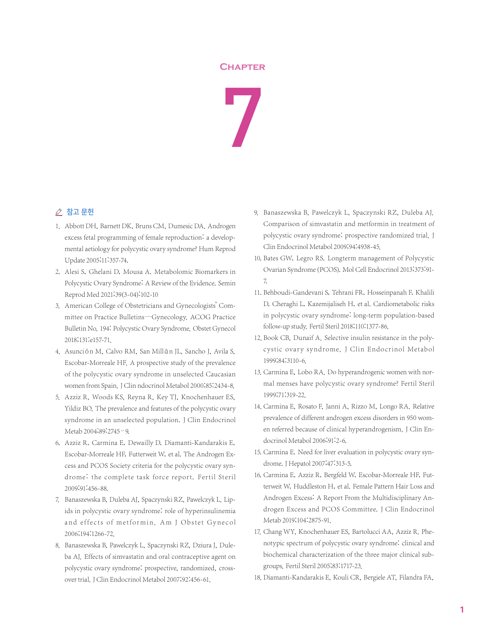## **Chapter**



## △ 참고 문헌

- 1. Abbott DH, Barnett DK, Bruns CM, Dumesic DA. Androgen excess fetal programming of female reproduction: a developmental aetiology for polycystic ovary syndrome? Hum Reprod Update 2005;11:357-74.
- 2. Alesi S, Ghelani D, Mousa A. Metabolomic Biomarkers in Polycystic Ovary Syndrome: A Review of the Evidence. Semin Reprod Med 2021;39(3-04):102-10
- 3. American College of Obstetricians and Gynecologists' Committee on Practice Bulletins—Gynecology. ACOG Practice Bulletin No. 194: Polycystic Ovary Syndrome. Obstet Gynecol 2018;131:e157-71.
- 4. Asunción M, Calvo RM, San Millán JL, Sancho J, Avila S, Escobar-Morreale HF. A prospective study of the prevalence of the polycystic ovary syndrome in unselected Caucasian women from Spain. J Clin ndocrinol Metabol 2000;85:2434-8.
- 5. Azziz R, Woods KS, Reyna R, Key TJ, Knochenhauer ES, Yildiz BO. The prevalence and features of the polycystic ovary syndrome in an unselected population. J Clin Endocrinol Metab 2004;89:2745–9.
- 6. Azziz R, Carmina E, Dewailly D, Diamanti-Kandarakis E, Escobar-Morreale HF, Futterweit W, et al. The Androgen Excess and PCOS Society criteria for the polycystic ovary syndrome: the complete task force report. Fertil Steril 2009;91:456-88.
- 7. Banaszewska B, Duleba AJ, Spaczynski RZ, Pawelczyk L. Lipids in polycystic ovary syndrome: role of hyperinsulinemia and effects of metformin. Am J Obstet Gynecol 2006;194:1266-72.
- 8. Banaszewska B, Pawelczyk L, Spaczynski RZ, Dziura J, Duleba AJ. Effects of simvastatin and oral contraceptive agent on polycystic ovary syndrome: prospective, randomized, crossover trial.J Clin Endocrinol Metabol 2007;92:456-61.
- 9. Banaszewska B, Pawelczyk L, Spaczynski RZ, Duleba AJ. Comparison of simvastatin and metformin in treatment of polycystic ovary syndrome: prospective randomized trial. J Clin Endocrinol Metabol 2009;94:4938-45.
- 10. Bates GW, Legro RS. Longterm management of Polycystic Ovarian Syndrome (PCOS). Mol Cell Endocrinol 2013;373:91- 7.
- 11. Behboudi-Gandevani S, Tehrani FR, Hosseinpanah F, Khalili D, Cheraghi L, Kazemijaliseh H, et al. Cardiometabolic risks in polycystic ovary syndrome: long-term population-based follow-up study. Fertil Steril 2018;110:1377-86.
- 12. Book CB, Dunaif A. Selective insulin resistance in the polycystic ovary syndrome. J Clin Endocrinol Metabol 1999;84:3110-6.
- 13. Carmina E, Lobo RA. Do hyperandrogenic women with normal menses have polycystic ovary syndrome? Fertil Steril 1999;71:319-22.
- 14. Carmina E, Rosato F, Janni A, Rizzo M, Longo RA. Relative prevalence of different androgen excess disorders in 950 women referred because of clinical hyperandrogenism. J Clin Endocrinol Metabol 2006;91:2-6.
- 15. Carmina E. Need for liver evaluation in polycystic ovary syndrome. J Hepatol 2007;47:313-5.
- 16. Carmina E, Azziz R, Bergfeld W, Escobar-Morreale HF, Futterweit W, Huddleston H, et al. Female Pattern Hair Loss and Androgen Excess: A Report From the Multidisciplinary Androgen Excess and PCOS Committee. J Clin Endocrinol Metab 2019;104:2875-91.
- 17. Chang WY, Knochenhauer ES, Bartolucci AA, Azziz R. Phenotypic spectrum of polycystic ovary syndrome: clinical and biochemical characterization of the three major clinical subgroups. Fertil Steril 2005;83:1717-23.
- 18. Diamanti-Kandarakis E, Kouli CR, Bergiele AT, Filandra FA,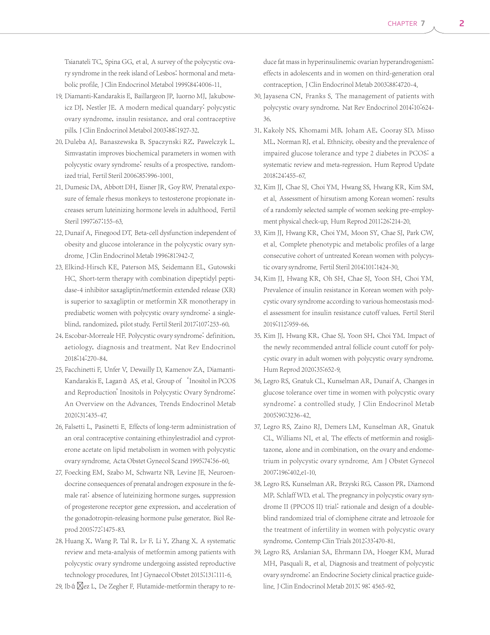Tsianateli TC, Spina GG, et al. A survey of the polycystic ovary syndrome in the reek island of Lesbos: hormonal and metabolic profile. J Clin Endocrinol Metabol 1999;84:4006-11.

- 19. Diamanti-Kandarakis E, Baillargeon JP, Iuorno MJ, Jakubowicz DJ, Nestler JE. A modern medical quandary: polycystic ovary syndrome, insulin resistance, and oral contraceptive pills. J Clin Endocrinol Metabol 2003;88:1927-32.
- 20. Duleba AJ, Banaszewska B, Spaczynski RZ, Pawelczyk L. Simvastatin improves biochemical parameters in women with polycystic ovary syndrome: results of a prospective, randomized trial. Fertil Steril 2006;85:996-1001.
- 21. Dumesic DA, Abbott DH, Eisner JR, Goy RW. Prenatal exposure of female rhesus monkeys to testosterone propionate increases serum luteinizing hormone levels in adulthood. Fertil Steril 1997;67:155-63.
- 22. Dunaif A, Finegood DT. Beta-cell dysfunction independent of obesity and glucose intolerance in the polycystic ovary syndrome. J Clin Endocrinol Metab 1996;81:942-7.
- 23. Elkind-Hirsch KE, Paterson MS, Seidemann EL, Gutowski HC. Short-term therapy with combination dipeptidyl peptidase-4 inhibitor saxagliptin/metformin extended release (XR) is superior to saxagliptin or metformin XR monotherapy in prediabetic women with polycystic ovary syndrome: a singleblind, randomized, pilot study. Fertil Steril 2017;107:253-60.
- 24. Escobar-Morreale HF. Polycystic ovary syndrome: definition, aetiology, diagnosis and treatment. Nat Rev Endocrinol 2018;14:270-84.
- 25. Facchinetti F, Unfer V, Dewailly D, Kamenov ZA, Diamanti-Kandarakis E, Laganà AS, et al. Group of 'Inositol in PCOS and Reproduction' Inositols in Polycystic Ovary Syndrome: An Overview on the Advances. Trends Endocrinol Metab 2020;31:435-47.
- 26. Falsetti L, Pasinetti E. Effects of long-term administration of an oral contraceptive containing ethinylestradiol and cyproterone acetate on lipid metabolism in women with polycystic ovary syndrome. Acta Obstet Gynecol Scand 1995;74:56-60.
- 27. Foecking EM, Szabo M, Schwartz NB, Levine JE. Neuroendocrine consequences of prenatal androgen exposure in the female rat: absence of luteinizing hormone surges, suppression of progesterone receptor gene expression, and acceleration of the gonadotropin-releasing hormone pulse generator. Biol Reprod 2005;72:1475-83.
- 28. Huang X, Wang P, Tal R, Lv F, Li Y, Zhang X. A systematic review and meta-analysis of metformin among patients with polycystic ovary syndrome undergoing assisted reproductive technology procedures. Int J Gynaecol Obstet 2015;131:111-6.
- 29. Ib á  $\boxtimes$ ez L, De Zegher F. Flutamide-metformin therapy to re-

duce fat mass in hyperinsulinemic ovarian hyperandrogenism: effects in adolescents and in women on third-generation oral contraception. J Clin Endocrinol Metab 2003;88:4720-4.

- 30. Jayasena CN, Franks S. The management of patients with polycystic ovary syndrome. Nat Rev Endocrinol 2014;10:624- 36.
- 31. Kakoly NS, Khomami MB, Joham AE, Cooray SD, Misso ML, Norman RJ, et al. Ethnicity, obesity and the prevalence of impaired glucose tolerance and type 2 diabetes in PCOS: a systematic review and meta-regression. Hum Reprod Update 2018;24:455-67.
- 32. Kim JJ, Chae SJ, Choi YM, Hwang SS, Hwang KR, Kim SM, et al. Assessment of hirsutism among Korean women: results of a randomly selected sample of women seeking pre-employment physical check-up. Hum Reprod 2011;26:214-20.
- 33. Kim JJ, Hwang KR, Choi YM, Moon SY, Chae SJ, Park CW, et al. Complete phenotypic and metabolic profiles of a large consecutive cohort of untreated Korean women with polycystic ovary syndrome. Fertil Steril 2014;101:1424-30.
- 34. Kim JJ, Hwang KR, Oh SH, Chae SJ, Yoon SH, Choi YM. Prevalence of insulin resistance in Korean women with polycystic ovary syndrome according to various homeostasis model assessment for insulin resistance cutoff values. Fertil Steril 2019;112:959-66.
- 35. Kim JJ, Hwang KR, Chae SJ, Yoon SH, Choi YM. Impact of the newly recommended antral follicle count cutoff for polycystic ovary in adult women with polycystic ovary syndrome. Hum Reprod 2020;35:652-9.
- 36. Legro RS, Gnatuk CL, Kunselman AR, Dunaif A. Changes in glucose tolerance over time in women with polycystic ovary syndrome: a controlled study. J Clin Endocrinol Metab 2005;90:3236-42.
- 37. Legro RS, Zaino RJ, Demers LM, Kunselman AR, Gnatuk CL, Williams NI, et al. The effects of metformin and rosiglitazone, alone and in combination, on the ovary and endometrium in polycystic ovary syndrome. Am J Obstet Gynecol 2007;196:402.e1-10.
- 38. Legro RS, Kunselman AR, Brzyski RG, Casson PR, Diamond MP, Schlaff WD, et al. The pregnancy in polycystic ovary syndrome II (PPCOS II) trial: rationale and design of a doubleblind randomized trial of clomiphene citrate and letrozole for the treatment of infertility in women with polycystic ovary syndrome, Contemp Clin Trials 2012;33:470-81.
- 39. Legro RS, Arslanian SA, Ehrmann DA, Hoeger KM, Murad MH, Pasquali R, et al. Diagnosis and treatment of polycystic ovary syndrome: an Endocrine Society clinical practice guideline. J Clin Endocrinol Metab 2013; 98: 4565-92.